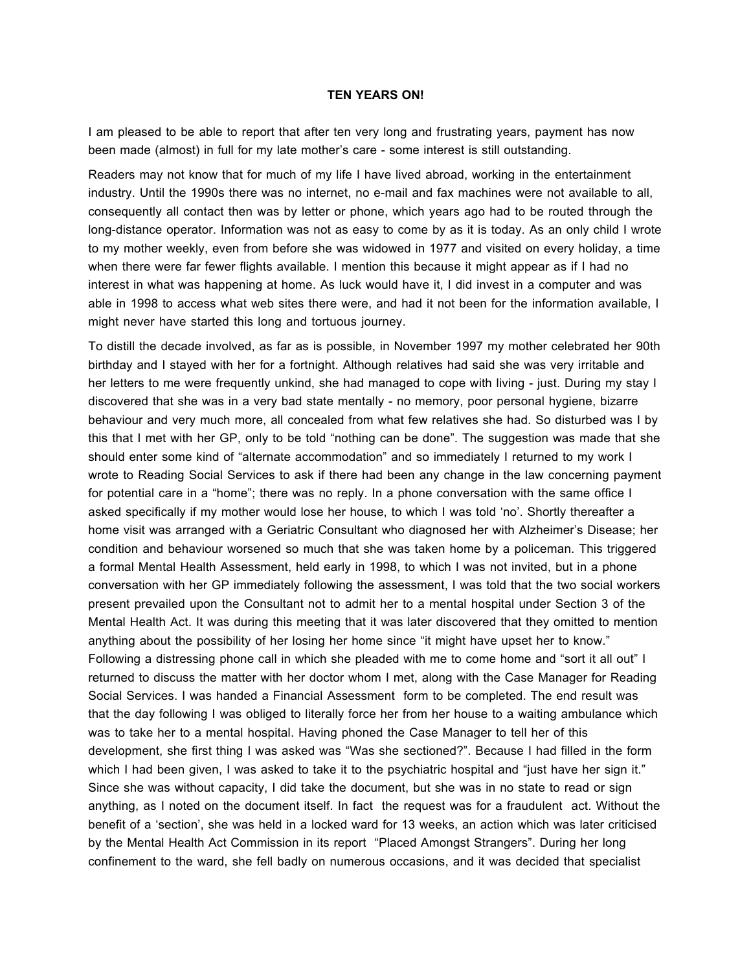## **TEN YEARS ON!**

I am pleased to be able to report that after ten very long and frustrating years, payment has now been made (almost) in full for my late mother's care - some interest is still outstanding.

Readers may not know that for much of my life I have lived abroad, working in the entertainment industry. Until the 1990s there was no internet, no e-mail and fax machines were not available to all, consequently all contact then was by letter or phone, which years ago had to be routed through the long-distance operator. Information was not as easy to come by as it is today. As an only child I wrote to my mother weekly, even from before she was widowed in 1977 and visited on every holiday, a time when there were far fewer flights available. I mention this because it might appear as if I had no interest in what was happening at home. As luck would have it, I did invest in a computer and was able in 1998 to access what web sites there were, and had it not been for the information available, I might never have started this long and tortuous journey.

To distill the decade involved, as far as is possible, in November 1997 my mother celebrated her 90th birthday and I stayed with her for a fortnight. Although relatives had said she was very irritable and her letters to me were frequently unkind, she had managed to cope with living - just. During my stay I discovered that she was in a very bad state mentally - no memory, poor personal hygiene, bizarre behaviour and very much more, all concealed from what few relatives she had. So disturbed was I by this that I met with her GP, only to be told "nothing can be done". The suggestion was made that she should enter some kind of "alternate accommodation" and so immediately I returned to my work I wrote to Reading Social Services to ask if there had been any change in the law concerning payment for potential care in a "home"; there was no reply. In a phone conversation with the same office I asked specifically if my mother would lose her house, to which I was told 'no'. Shortly thereafter a home visit was arranged with a Geriatric Consultant who diagnosed her with Alzheimer's Disease; her condition and behaviour worsened so much that she was taken home by a policeman. This triggered a formal Mental Health Assessment, held early in 1998, to which I was not invited, but in a phone conversation with her GP immediately following the assessment, I was told that the two social workers present prevailed upon the Consultant not to admit her to a mental hospital under Section 3 of the Mental Health Act. It was during this meeting that it was later discovered that they omitted to mention anything about the possibility of her losing her home since "it might have upset her to know." Following a distressing phone call in which she pleaded with me to come home and "sort it all out" I returned to discuss the matter with her doctor whom I met, along with the Case Manager for Reading Social Services. I was handed a Financial Assessment form to be completed. The end result was that the day following I was obliged to literally force her from her house to a waiting ambulance which was to take her to a mental hospital. Having phoned the Case Manager to tell her of this development, she first thing I was asked was "Was she sectioned?". Because I had filled in the form which I had been given, I was asked to take it to the psychiatric hospital and "just have her sign it." Since she was without capacity, I did take the document, but she was in no state to read or sign anything, as I noted on the document itself. In fact the request was for a fraudulent act. Without the benefit of a 'section', she was held in a locked ward for 13 weeks, an action which was later criticised by the Mental Health Act Commission in its report "Placed Amongst Strangers". During her long confinement to the ward, she fell badly on numerous occasions, and it was decided that specialist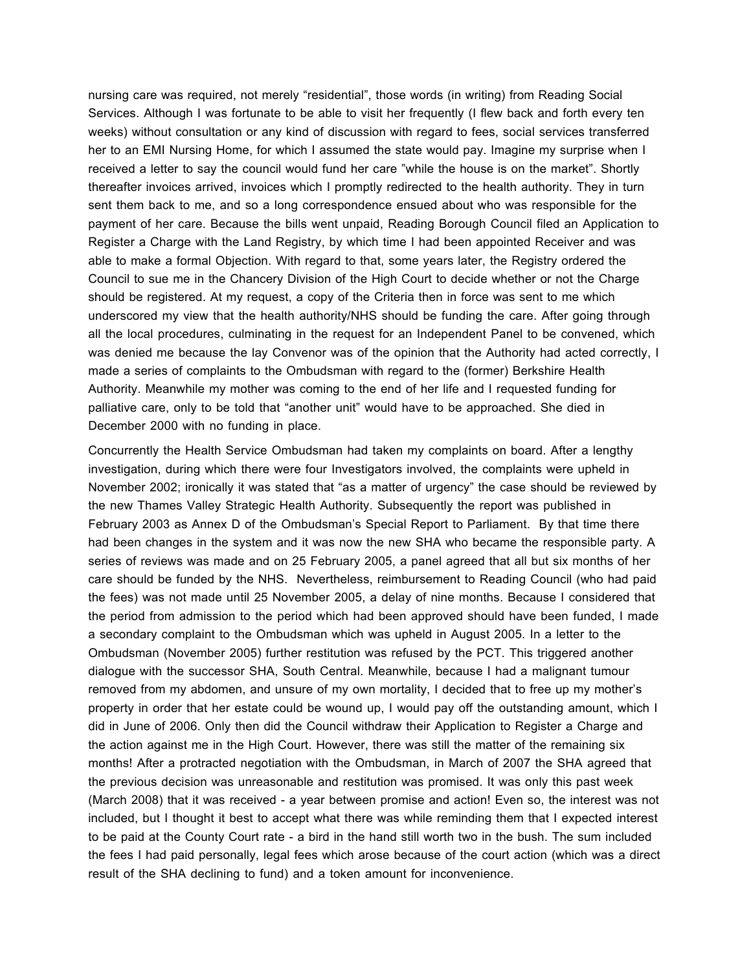nursing care was required, not merely "residential", those words (in writing) from Reading Social Services. Although I was fortunate to be able to visit her frequently (I flew back and forth every ten weeks) without consultation or any kind of discussion with regard to fees, social services transferred her to an EMI Nursing Home, for which I assumed the state would pay. Imagine my surprise when I received a letter to say the council would fund her care "while the house is on the market". Shortly thereafter invoices arrived, invoices which I promptly redirected to the health authority. They in turn sent them back to me, and so a long correspondence ensued about who was responsible for the payment of her care. Because the bills went unpaid, Reading Borough Council filed an Application to Register a Charge with the Land Registry, by which time I had been appointed Receiver and was able to make a formal Objection. With regard to that, some years later, the Registry ordered the Council to sue me in the Chancery Division of the High Court to decide whether or not the Charge should be registered. At my request, a copy of the Criteria then in force was sent to me which underscored my view that the health authority/NHS should be funding the care. After going through all the local procedures, culminating in the request for an Independent Panel to be convened, which was denied me because the lay Convenor was of the opinion that the Authority had acted correctly, I made a series of complaints to the Ombudsman with regard to the (former) Berkshire Health Authority. Meanwhile my mother was coming to the end of her life and I requested funding for palliative care, only to be told that "another unit" would have to be approached. She died in December 2000 with no funding in place.

Concurrently the Health Service Ombudsman had taken my complaints on board. After a lengthy investigation, during which there were four Investigators involved, the complaints were upheld in November 2002; ironically it was stated that "as a matter of urgency" the case should be reviewed by the new Thames Valley Strategic Health Authority. Subsequently the report was published in February 2003 as Annex D of the Ombudsman's Special Report to Parliament. By that time there had been changes in the system and it was now the new SHA who became the responsible party. A series of reviews was made and on 25 February 2005, a panel agreed that all but six months of her care should be funded by the NHS. Nevertheless, reimbursement to Reading Council (who had paid the fees) was not made until 25 November 2005, a delay of nine months. Because I considered that the period from admission to the period which had been approved should have been funded, I made a secondary complaint to the Ombudsman which was upheld in August 2005. In a letter to the Ombudsman (November 2005) further restitution was refused by the PCT. This triggered another dialogue with the successor SHA, South Central. Meanwhile, because I had a malignant tumour removed from my abdomen, and unsure of my own mortality, I decided that to free up my mother's property in order that her estate could be wound up, I would pay off the outstanding amount, which I did in June of 2006. Only then did the Council withdraw their Application to Register a Charge and the action against me in the High Court. However, there was still the matter of the remaining six months! After a protracted negotiation with the Ombudsman, in March of 2007 the SHA agreed that the previous decision was unreasonable and restitution was promised. It was only this past week (March 2008) that it was received - a year between promise and action! Even so, the interest was not included, but I thought it best to accept what there was while reminding them that I expected interest to be paid at the County Court rate - a bird in the hand still worth two in the bush. The sum included the fees I had paid personally, legal fees which arose because of the court action (which was a direct result of the SHA declining to fund) and a token amount for inconvenience.